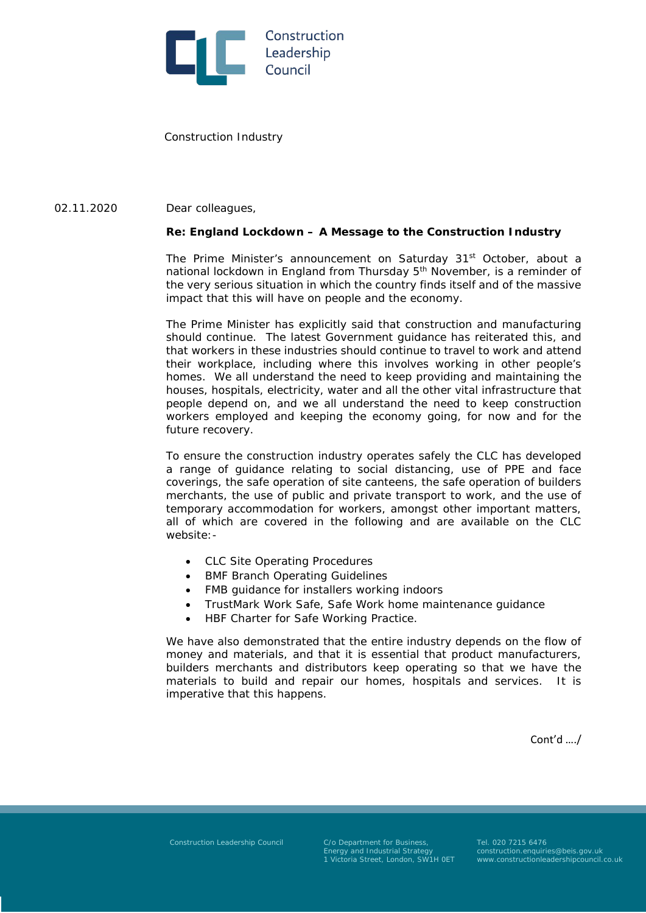

Construction Industry

## Dear colleagues, 02.11.2020

## **Re: England Lockdown – A Message to the Construction Industry**

The Prime Minister's announcement on Saturday 31<sup>st</sup> October, about a national lockdown in England from Thursday  $5<sup>th</sup>$  November, is a reminder of the very serious situation in which the country finds itself and of the massive impact that this will have on people and the economy.

The Prime Minister has explicitly said that construction and manufacturing should continue. The latest Government guidance has reiterated this, and that workers in these industries should continue to travel to work and attend their workplace, including where this involves working in other people's homes. We all understand the need to keep providing and maintaining the houses, hospitals, electricity, water and all the other vital infrastructure that people depend on, and we all understand the need to keep construction workers employed and keeping the economy going, for now and for the future recovery.

To ensure the construction industry operates safely the CLC has developed a range of guidance relating to social distancing, use of PPE and face coverings, the safe operation of site canteens, the safe operation of builders merchants, the use of public and private transport to work, and the use of temporary accommodation for workers, amongst other important matters, all of which are covered in the following and are available on the CLC website:-

- CLC Site Operating Procedures
- **BMF Branch Operating Guidelines**
- FMB guidance for installers working indoors
- TrustMark Work Safe, Safe Work home maintenance guidance
- HBF Charter for Safe Working Practice.

We have also demonstrated that the entire industry depends on the flow of money and materials, and that it is essential that product manufacturers, builders merchants and distributors keep operating so that we have the materials to build and repair our homes, hospitals and services. It is imperative that this happens.

Cont'd …./

Construction Leadership Council C/o Department for Business, Tel. 020 7215 6476<br>Energy and Industrial Strategy construction.enquiries@beis.gov.uk

Energy and Industrial Strategy construction.enquiries@beis.gov.uk 1 Victoria Street, London, SW1H 0ET www.constructionleadershipcouncil.co.uk